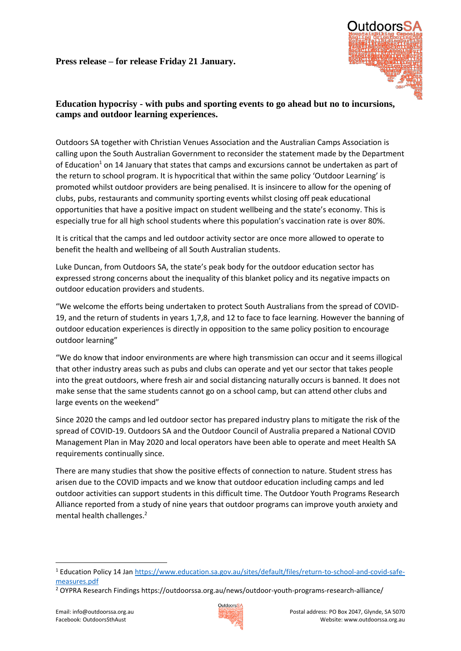

## **Education hypocrisy - with pubs and sporting events to go ahead but no to incursions, camps and outdoor learning experiences.**

Outdoors SA together with Christian Venues Association and the Australian Camps Association is calling upon the South Australian Government to reconsider the statement made by the Department of Education<sup>1</sup> on 14 January that states that camps and excursions cannot be undertaken as part of the return to school program. It is hypocritical that within the same policy 'Outdoor Learning' is promoted whilst outdoor providers are being penalised. It is insincere to allow for the opening of clubs, pubs, restaurants and community sporting events whilst closing off peak educational opportunities that have a positive impact on student wellbeing and the state's economy. This is especially true for all high school students where this population's vaccination rate is over 80%.

It is critical that the camps and led outdoor activity sector are once more allowed to operate to benefit the health and wellbeing of all South Australian students.

Luke Duncan, from Outdoors SA, the state's peak body for the outdoor education sector has expressed strong concerns about the inequality of this blanket policy and its negative impacts on outdoor education providers and students.

"We welcome the efforts being undertaken to protect South Australians from the spread of COVID-19, and the return of students in years 1,7,8, and 12 to face to face learning. However the banning of outdoor education experiences is directly in opposition to the same policy position to encourage outdoor learning"

"We do know that indoor environments are where high transmission can occur and it seems illogical that other industry areas such as pubs and clubs can operate and yet our sector that takes people into the great outdoors, where fresh air and social distancing naturally occurs is banned. It does not make sense that the same students cannot go on a school camp, but can attend other clubs and large events on the weekend"

Since 2020 the camps and led outdoor sector has prepared industry plans to mitigate the risk of the spread of COVID-19. Outdoors SA and the Outdoor Council of Australia prepared a National COVID Management Plan in May 2020 and local operators have been able to operate and meet Health SA requirements continually since.

There are many studies that show the positive effects of connection to nature. Student stress has arisen due to the COVID impacts and we know that outdoor education including camps and led outdoor activities can support students in this difficult time. The Outdoor Youth Programs Research Alliance reported from a study of nine years that outdoor programs can improve youth anxiety and mental health challenges.<sup>2</sup>

**.** 



<sup>1</sup> Education Policy 14 Jan [https://www.education.sa.gov.au/sites/default/files/return-to-school-and-covid-safe](https://www.education.sa.gov.au/sites/default/files/return-to-school-and-covid-safe-measures.pdf)[measures.pdf](https://www.education.sa.gov.au/sites/default/files/return-to-school-and-covid-safe-measures.pdf)

<sup>2</sup> OYPRA Research Findings https://outdoorssa.org.au/news/outdoor-youth-programs-research-alliance/